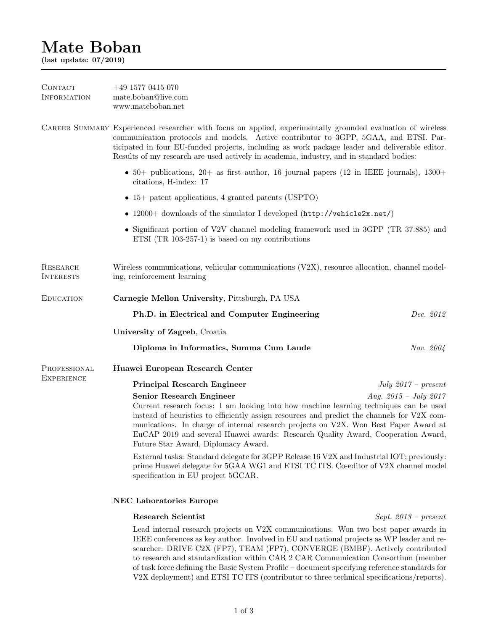# Mate Boban

(last update: 07/2019)

| <b>CONTACT</b><br><b>INFORMATION</b> | $+49$ 1577 0415 070<br>mate.boban@live.com<br>www.mateboban.net                                                                                                                                                                                                                                                                                                                                                                                                |                        |  |
|--------------------------------------|----------------------------------------------------------------------------------------------------------------------------------------------------------------------------------------------------------------------------------------------------------------------------------------------------------------------------------------------------------------------------------------------------------------------------------------------------------------|------------------------|--|
|                                      | CAREER SUMMARY Experienced researcher with focus on applied, experimentally grounded evaluation of wireless<br>communication protocols and models. Active contributor to 3GPP, 5GAA, and ETSI. Par-<br>ticipated in four EU-funded projects, including as work package leader and deliverable editor.<br>Results of my research are used actively in academia, industry, and in standard bodies:                                                               |                        |  |
|                                      | • 50+ publications, 20+ as first author, 16 journal papers (12 in IEEE journals), $1300+$<br>citations, H-index: 17                                                                                                                                                                                                                                                                                                                                            |                        |  |
|                                      | $\bullet$ 15+ patent applications, 4 granted patents (USPTO)                                                                                                                                                                                                                                                                                                                                                                                                   |                        |  |
|                                      | • 12000+ downloads of the simulator I developed (http://vehicle2x.net/)                                                                                                                                                                                                                                                                                                                                                                                        |                        |  |
|                                      | • Significant portion of V2V channel modeling framework used in 3GPP (TR 37.885) and<br>ETSI $(TR 103-257-1)$ is based on my contributions                                                                                                                                                                                                                                                                                                                     |                        |  |
| <b>RESEARCH</b><br><b>INTERESTS</b>  | Wireless communications, vehicular communications (V2X), resource allocation, channel model-<br>ing, reinforcement learning                                                                                                                                                                                                                                                                                                                                    |                        |  |
| <b>EDUCATION</b>                     | Carnegie Mellon University, Pittsburgh, PA USA                                                                                                                                                                                                                                                                                                                                                                                                                 |                        |  |
|                                      | Ph.D. in Electrical and Computer Engineering                                                                                                                                                                                                                                                                                                                                                                                                                   | Dec. 2012              |  |
|                                      | University of Zagreb, Croatia                                                                                                                                                                                                                                                                                                                                                                                                                                  |                        |  |
|                                      | Diploma in Informatics, Summa Cum Laude                                                                                                                                                                                                                                                                                                                                                                                                                        | Nov. 2004              |  |
| PROFESSIONAL<br><b>EXPERIENCE</b>    | Huawei European Research Center                                                                                                                                                                                                                                                                                                                                                                                                                                |                        |  |
|                                      | <b>Principal Research Engineer</b>                                                                                                                                                                                                                                                                                                                                                                                                                             | July $2017$ – present  |  |
|                                      | Aug. $2015 - July 2017$<br>Senior Research Engineer<br>Current research focus: I am looking into how machine learning techniques can be used<br>instead of heuristics to efficiently assign resources and predict the channels for V2X com-<br>munications. In charge of internal research projects on V2X. Won Best Paper Award at<br>EuCAP 2019 and several Huawei awards: Research Quality Award, Cooperation Award,<br>Future Star Award, Diplomacy Award. |                        |  |
|                                      | External tasks: Standard delegate for 3GPP Release 16 V2X and Industrial IOT; previously:<br>prime Huawei delegate for 5GAA WG1 and ETSI TC ITS. Co-editor of V2X channel model<br>specification in EU project 5GCAR.                                                                                                                                                                                                                                          |                        |  |
|                                      | <b>NEC Laboratories Europe</b>                                                                                                                                                                                                                                                                                                                                                                                                                                 |                        |  |
|                                      | <b>Research Scientist</b>                                                                                                                                                                                                                                                                                                                                                                                                                                      | $Sept. 2013 - present$ |  |
|                                      | Lead internal research projects on V2X communications. Won two best paper awards in<br>IEEE conferences as key author. Involved in EU and national projects as WP leader and re-                                                                                                                                                                                                                                                                               |                        |  |

searcher: DRIVE C2X (FP7), TEAM (FP7), CONVERGE (BMBF). Actively contributed to research and standardization within CAR 2 CAR Communication Consortium (member of task force defining the Basic System Profile – document specifying reference standards for V2X deployment) and ETSI TC ITS (contributor to three technical specifications/reports).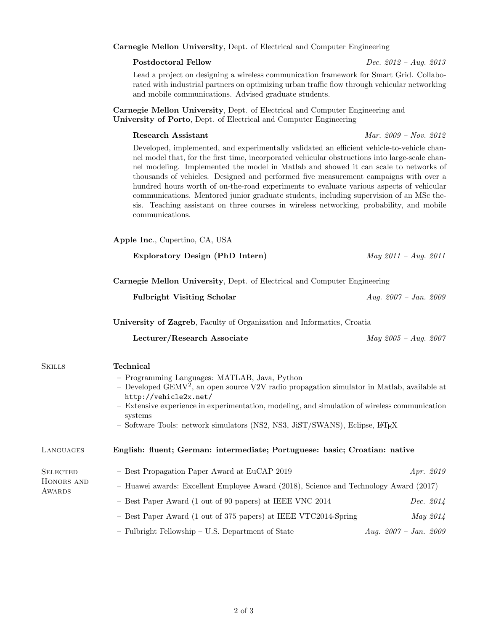#### Carnegie Mellon University[, Dept. of Electrical and Computer Engineering](http://www.ece.cmu.edu)

#### Postdoctoral Fellow Dec. 2012 – Aug. 2013

Lead a project on designing a wireless communication framework for Smart Grid. Collaborated with industrial partners on optimizing urban traffic flow through vehicular networking and mobile communications. Advised graduate students.

Carnegie Mellon University[, Dept. of Electrical and Computer Engineering](http://www.ece.cmu.edu) and University of Porto[, Dept. of Electrical and Computer Engineering](http://www.fe.up.pt)

Research Assistant Mar. 2009 – Nov. 2012

Developed, implemented, and experimentally validated an efficient vehicle-to-vehicle channel model that, for the first time, incorporated vehicular obstructions into large-scale channel modeling. Implemented the model in Matlab and showed it can scale to networks of thousands of vehicles. Designed and performed five measurement campaigns with over a hundred hours worth of on-the-road experiments to evaluate various aspects of vehicular communications. Mentored junior graduate students, including supervision of an MSc thesis. Teaching assistant on three courses in wireless networking, probability, and mobile communications.

[Apple Inc](http://www.apple.com)., Cupertino, CA, USA

|                                         | Exploratory Design (PhD Intern)                                                                                                                                                                                                                                                                                                                                                                              | $May 2011 - Aug. 2011$    |  |
|-----------------------------------------|--------------------------------------------------------------------------------------------------------------------------------------------------------------------------------------------------------------------------------------------------------------------------------------------------------------------------------------------------------------------------------------------------------------|---------------------------|--|
|                                         | Carnegie Mellon University, Dept. of Electrical and Computer Engineering                                                                                                                                                                                                                                                                                                                                     |                           |  |
|                                         | <b>Fulbright Visiting Scholar</b>                                                                                                                                                                                                                                                                                                                                                                            | Aug. $2007 - Jan.$ 2009   |  |
|                                         | University of Zagreb, Faculty of Organization and Informatics, Croatia                                                                                                                                                                                                                                                                                                                                       |                           |  |
|                                         | Lecturer/Research Associate                                                                                                                                                                                                                                                                                                                                                                                  | $May 2005 - Aug. 2007$    |  |
| <b>SKILLS</b>                           | <b>Technical</b><br>- Programming Languages: MATLAB, Java, Python<br>- Developed GEMV <sup>2</sup> , an open source V2V radio propagation simulator in Matlab, available at<br>http://vehicle2x.net/<br>- Extensive experience in experimentation, modeling, and simulation of wireless communication<br>systems<br>- Software Tools: network simulators (NS2, NS3, JiST/SWANS), Eclipse, L <sup>A</sup> TEX |                           |  |
| LANGUAGES                               | English: fluent; German: intermediate; Portuguese: basic; Croatian: native                                                                                                                                                                                                                                                                                                                                   |                           |  |
| <b>SELECTED</b><br>HONORS AND<br>AWARDS | - Best Propagation Paper Award at EuCAP 2019<br>- Huawei awards: Excellent Employee Award (2018), Science and Technology Award (2017)                                                                                                                                                                                                                                                                        | Apr. 2019                 |  |
|                                         | - Best Paper Award (1 out of 90 papers) at IEEE VNC 2014                                                                                                                                                                                                                                                                                                                                                     | Dec. 2014                 |  |
|                                         | - Best Paper Award (1 out of 375 papers) at IEEE VTC2014-Spring                                                                                                                                                                                                                                                                                                                                              | May 2014                  |  |
|                                         | - Fulbright Fellowship - U.S. Department of State                                                                                                                                                                                                                                                                                                                                                            | Aug. $2007 - Jan.$ $2009$ |  |